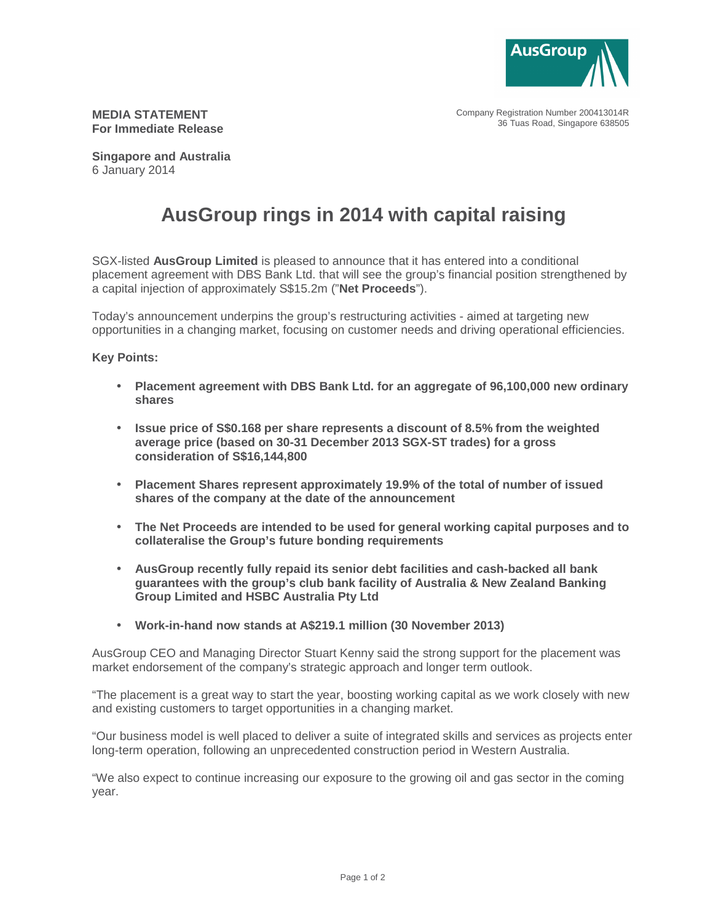

Company Registration Number 200413014R 36 Tuas Road, Singapore 638505

**MEDIA STATEMENT For Immediate Release** 

**Singapore and Australia**  6 January 2014

## **AusGroup rings in 2014 with capital raising**

SGX-listed **AusGroup Limited** is pleased to announce that it has entered into a conditional placement agreement with DBS Bank Ltd. that will see the group's financial position strengthened by a capital injection of approximately S\$15.2m ("**Net Proceeds**").

Today's announcement underpins the group's restructuring activities - aimed at targeting new opportunities in a changing market, focusing on customer needs and driving operational efficiencies.

## **Key Points:**

- **Placement agreement with DBS Bank Ltd. for an aggregate of 96,100,000 new ordinary shares**
- **Issue price of S\$0.168 per share represents a discount of 8.5% from the weighted average price (based on 30-31 December 2013 SGX-ST trades) for a gross consideration of S\$16,144,800**
- **Placement Shares represent approximately 19.9% of the total of number of issued shares of the company at the date of the announcement**
- **The Net Proceeds are intended to be used for general working capital purposes and to collateralise the Group's future bonding requirements**
- **AusGroup recently fully repaid its senior debt facilities and cash-backed all bank guarantees with the group's club bank facility of Australia & New Zealand Banking Group Limited and HSBC Australia Pty Ltd**
- **Work-in-hand now stands at A\$219.1 million (30 November 2013)**

AusGroup CEO and Managing Director Stuart Kenny said the strong support for the placement was market endorsement of the company's strategic approach and longer term outlook.

"The placement is a great way to start the year, boosting working capital as we work closely with new and existing customers to target opportunities in a changing market.

"Our business model is well placed to deliver a suite of integrated skills and services as projects enter long-term operation, following an unprecedented construction period in Western Australia.

"We also expect to continue increasing our exposure to the growing oil and gas sector in the coming year.